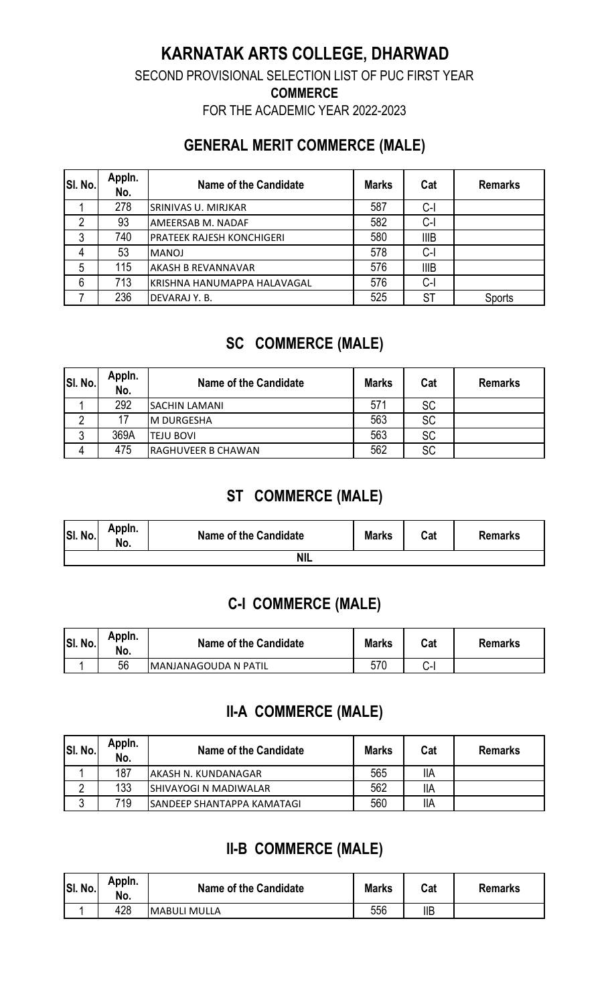# **KARNATAK ARTS COLLEGE, DHARWAD**

SECOND PROVISIONAL SELECTION LIST OF PUC FIRST YEAR

**COMMERCE** 

FOR THE ACADEMIC YEAR 2022-2023

### **GENERAL MERIT COMMERCE (MALE)**

| SI. No. | Appln.<br>No. | <b>Name of the Candidate</b>     | <b>Marks</b> | Cat         | <b>Remarks</b> |
|---------|---------------|----------------------------------|--------------|-------------|----------------|
|         | 278           | <b>SRINIVAS U. MIRJKAR</b>       | 587          | $C-I$       |                |
| റ       | 93            | AMEERSAB M. NADAF                | 582          | $C-I$       |                |
| 3       | 740           | <b>PRATEEK RAJESH KONCHIGERI</b> | 580          | <b>IIIB</b> |                |
| 4       | 53            | <b>MANOJ</b>                     | 578          | $C-I$       |                |
| 5       | 115           | <b>AKASH B REVANNAVAR</b>        | 576          | <b>IIIB</b> |                |
| 6       | 713           | KRISHNA HANUMAPPA HALAVAGAL      | 576          | $C-I$       |                |
|         | 236           | DEVARAJ Y.B.                     | 525          | <b>ST</b>   | Sports         |

# **SC COMMERCE (MALE)**

| SI. No. | Appln.<br>No. | Name of the Candidate | <b>Marks</b> | Cat       | <b>Remarks</b> |
|---------|---------------|-----------------------|--------------|-----------|----------------|
|         | 292           | <b>SACHIN LAMANI</b>  | 571          | <b>SC</b> |                |
|         |               | <b>M DURGESHA</b>     | 563          | <b>SC</b> |                |
|         | 369A          | <b>TEJU BOVI</b>      | 563          | <b>SC</b> |                |
| 4       | 475           | RAGHUVEER B CHAWAN    | 562          | <b>SC</b> |                |

# **ST COMMERCE (MALE)**

| SI. No. | Appin.<br>No. | Name of the Candidate | <b>Marks</b> | Cat | <b>Remarks</b> |  |  |
|---------|---------------|-----------------------|--------------|-----|----------------|--|--|
| NIL     |               |                       |              |     |                |  |  |

#### **C-I COMMERCE (MALE)**

| SI. No. | Appln.<br>No. | <b>Name of the Candidate</b> | <b>Marks</b> | Cat | <b>Remarks</b> |
|---------|---------------|------------------------------|--------------|-----|----------------|
|         | 56            | <b>IMANJANAGOUDA N PATIL</b> | 570          | ⌒   |                |

# **II-A COMMERCE (MALE)**

| SI. No. | Appln.<br>No. | Name of the Candidate              | <b>Marks</b> | Cat        | <b>Remarks</b> |
|---------|---------------|------------------------------------|--------------|------------|----------------|
|         | 187           | AKASH N. KUNDANAGAR                | 565          | <b>IIA</b> |                |
|         | 133           | <b>SHIVAYOGI N MADIWALAR</b>       | 562          | <b>IIA</b> |                |
|         | 719           | <b>ISANDEEP SHANTAPPA KAMATAGI</b> | 560          | <b>IIA</b> |                |

# **II-B COMMERCE (MALE)**

| SI. No. | Appin.<br>No. | Name of the Candidate | <b>Marks</b> | Cat        | <b>Remarks</b> |
|---------|---------------|-----------------------|--------------|------------|----------------|
|         | 428           | IMABULI MULLA         | 556          | <b>IIB</b> |                |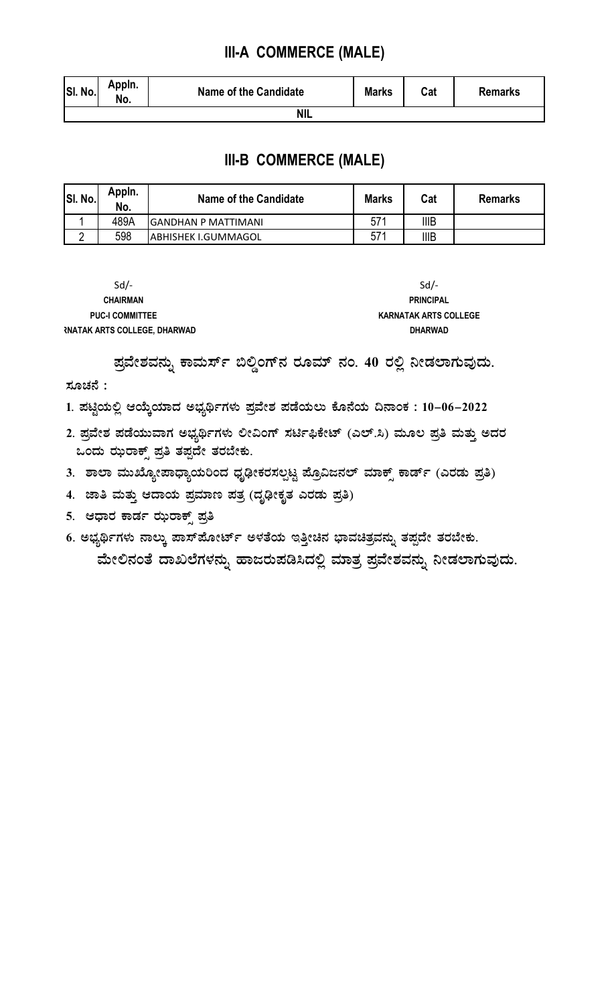#### III-A COMMERCE (MALE)

| SI. No. | Appin.<br>NO. | <b>Name of the Candidate</b> | <b>Marks</b> | 0 <sub>0</sub><br>ual | Remarks |  |
|---------|---------------|------------------------------|--------------|-----------------------|---------|--|
| ΝIΙ     |               |                              |              |                       |         |  |

#### **III-B COMMERCE (MALE)**

| SI. No. | Appln.<br>No. | Name of the Candidate | <b>Marks</b> | Cat         | <b>Remarks</b> |
|---------|---------------|-----------------------|--------------|-------------|----------------|
|         | 489A          | IGANDHAN P MATTIMANI  | 571          | <b>IIIB</b> |                |
|         | 598           | IABHISHEK I.GUMMAGOL  | 571          | <b>IIIB</b> |                |

| $Sd/-$                              | $Sd$ /-                      |
|-------------------------------------|------------------------------|
| <b>CHAIRMAN</b>                     | <b>PRINCIPAL</b>             |
| <b>PUC-I COMMITTEE</b>              | <b>KARNATAK ARTS COLLEGE</b> |
| <b>RNATAK ARTS COLLEGE. DHARWAD</b> | <b>DHARWAD</b>               |

ಪ್ರವೇಶವನ್ನು ಕಾಮರ್ಸ್ ಬಿಲ್ಡಿಂಗ್**ನ ರೂಮ್ ನಂ. 40 ರಲ್ಲಿ ನೀಡಲಾಗುವುದು**. ಸೂಚನೆ :

1. ಪಟ್ಟಿಯಲ್ಲಿ ಆಯ್ಕೆಯಾದ ಅಭ್ಯರ್ಥಿಗಳು ಪ್ರವೇಶ ಪಡೆಯಲು ಕೊನೆಯ ದಿನಾಂಕ : 10–06–2022

- 2. ಪ್ರವೇಶ ಪಡೆಯುವಾಗ ಅಭ್ಯರ್ಥಿಗಳು ಲೀವಿಂಗ್ ಸರ್ಟಿಫಿಕೇಟ್ (ಎಲ್.ಸಿ) ಮೂಲ ಪ್ರತಿ ಮತ್ತು ಅದರ ಒಂದು ಝರಾಕ್ಸ್ ಪ್ರತಿ ತಪ್ಪದೇ ತರಬೇಕು.
- 3. ಶಾಲಾ ಮುಖ್ಯೋಪಾಧ್ಯಾಯರಿಂದ ಧೃಢೀಕರಸಲ್ಪಟ್ಟ ಪ್ರೊವಿಜನಲ್ ಮಾಕ್ಸ್ ಕಾರ್ಡ್ (ಎರಡು ಪ್ರತಿ)
- 4. ಜಾತಿ ಮತ್ತು ಆದಾಯ ಪ್ರಮಾಣ ಪತ್ರ (ದೃಢೀಕೃತ ಎರಡು ಪ್ರತಿ)
- 5. ಆಧಾರ ಕಾರ್ಡ ಝರಾಕ್ಸ್ ಪ್ರತಿ

6. ಅಭ್ಯರ್ಥಿಗಳು ನಾಲ್ಕು ಪಾಸ್**ಪೋರ್ಟ್ ಅಳತೆಯ ಇತ್ತೀಚಿನ ಭಾವಚಿತ್ರವನ್ನು ತಪ್ಪ**ದೇ ತರಬೇಕು.

ಮೇಲಿನಂತೆ ದಾಖಲೆಗಳನ್ನು ಹಾಜರುಪಡಿಸಿದಲ್ಲಿ ಮಾತ್ರ ಪ್ರವೇಶವನ್ನು ನೀಡಲಾಗುವುದು.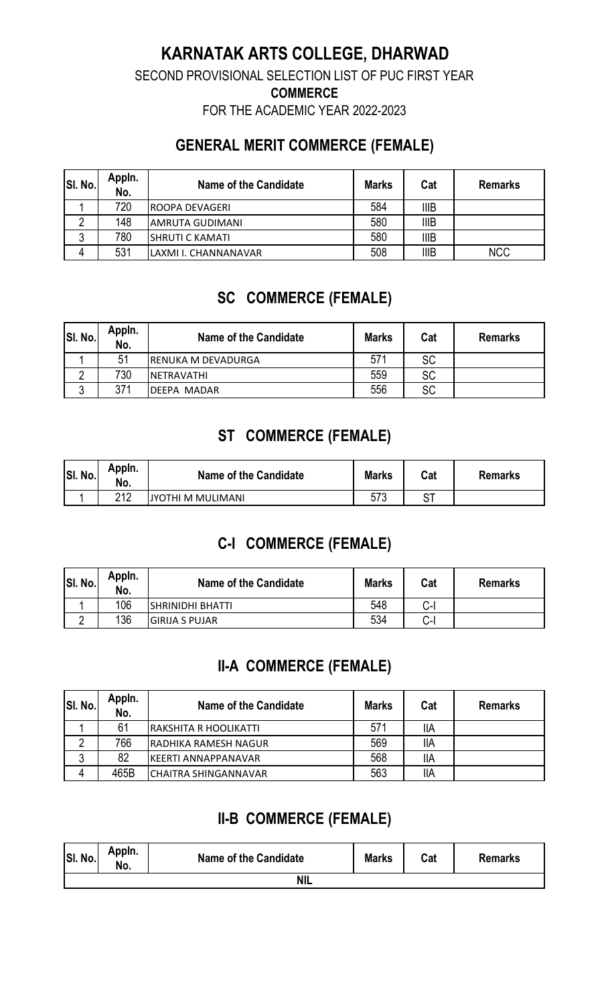### **KARNATAK ARTS COLLEGE, DHARWAD**

SECOND PROVISIONAL SELECTION LIST OF PUC FIRST YEAR

**COMMERCE** 

FOR THE ACADEMIC YEAR 2022-2023

### **GENERAL MERIT COMMERCE (FEMALE)**

| SI. No. | Appln.<br>No. | Name of the Candidate  | <b>Marks</b> | Cat         | <b>Remarks</b> |
|---------|---------------|------------------------|--------------|-------------|----------------|
|         | 720           | <b>IROOPA DEVAGERI</b> | 584          | <b>IIIB</b> |                |
|         | 148           | <b>AMRUTA GUDIMANI</b> | 580          | <b>IIIB</b> |                |
| ູບ      | 780           | <b>SHRUTI C KAMATI</b> | 580          | <b>IIIB</b> |                |
| 4       | 531           | LAXMI I. CHANNANAVAR   | 508          | <b>IIIB</b> | <b>NCC</b>     |

# **SC COMMERCE (FEMALE)**

| SI. No. | Appln.<br>No. | Name of the Candidate | <b>Marks</b> | Cat       | <b>Remarks</b> |
|---------|---------------|-----------------------|--------------|-----------|----------------|
|         | 51            | RENUKA M DEVADURGA    | 57'          | <b>SC</b> |                |
|         | 730           | INETRAVATHI           | 559          | <b>SC</b> |                |
|         | 371           | DEEPA MADAR           | 556          | <b>SC</b> |                |

### **ST COMMERCE (FEMALE)**

| SI. No. | Appin.<br>No. | Name of the Candidate | <b>Marks</b> | Cat | <b>Remarks</b> |
|---------|---------------|-----------------------|--------------|-----|----------------|
|         | つりつ           | JYOTHI M MULIMANI     | 573          |     |                |

# **C-I COMMERCE (FEMALE)**

| SI. No. | Appln.<br>No. | Name of the Candidate    | <b>Marks</b> | Cat           | <b>Remarks</b> |
|---------|---------------|--------------------------|--------------|---------------|----------------|
|         | 106           | <b>ISHRINIDHI BHATTI</b> | 548          | $\sim$<br>ا-ب |                |
|         | 136           | <b>GIRIJA S PUJAR</b>    | 534          | $\sim$<br>ا−ب |                |

### **II-A COMMERCE (FEMALE)**

| SI. No. | Appln.<br>No. | Name of the Candidate       | <b>Marks</b> | Cat        | <b>Remarks</b> |
|---------|---------------|-----------------------------|--------------|------------|----------------|
|         | 61            | RAKSHITA R HOOLIKATTI       | 571          | <b>IIA</b> |                |
|         | 766           | <b>RADHIKA RAMESH NAGUR</b> | 569          | <b>IIA</b> |                |
| ົ       | 82            | <b>IKEERTI ANNAPPANAVAR</b> | 568          | <b>IIA</b> |                |
| 4       | 465B          | <b>CHAITRA SHINGANNAVAR</b> | 563          | <b>IIA</b> |                |

### **II-B COMMERCE (FEMALE)**

| SI. No.    | Appln.<br>. .<br>No. | Name of the Candidate | <b>Marks</b> | Cat | <b>Remarks</b> |
|------------|----------------------|-----------------------|--------------|-----|----------------|
| <b>NIL</b> |                      |                       |              |     |                |